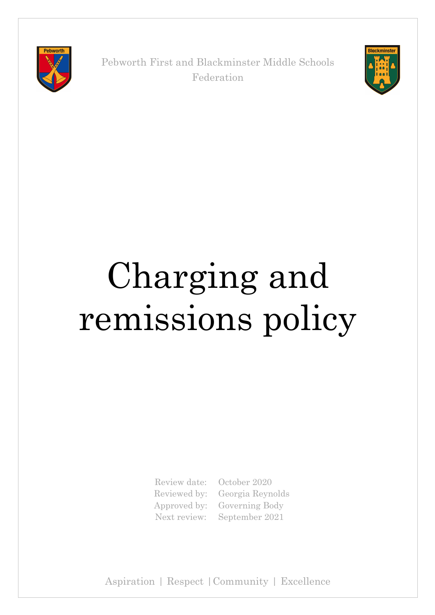

Pebworth First and Blackminster Middle Schools Federation



# Charging and remissions policy

Review date: October 2020

Reviewed by: Georgia Reynolds Approved by: Governing Body Next review: September 2021

Aspiration | Respect |Community | Excellence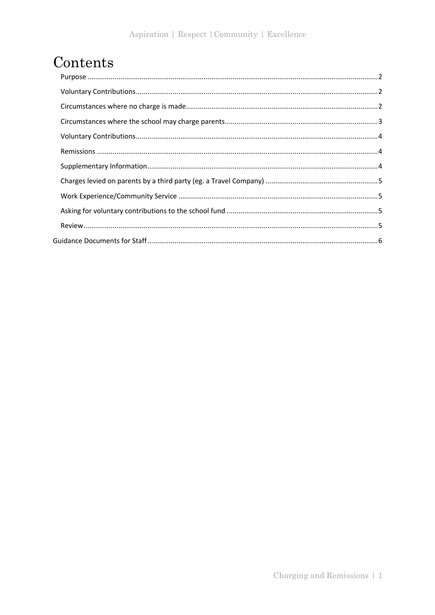# Contents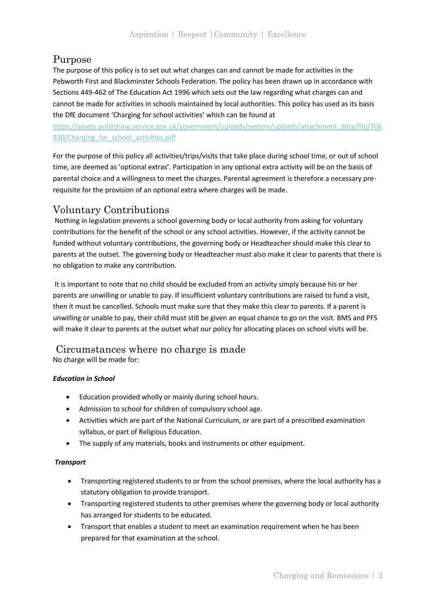## Purpose

The purpose of this policy is to set out what charges can and cannot be made for activities in the Pebworth First and Blackminster Schools Federation. The policy has been drawn up in accordance with Sections 449-462 of The Education Act 1996 which sets out the law regarding what charges can and cannot be made for activities in schools maintained by local authorities. This policy has used as its basis the DfE document 'Charging for school activities' which can be found at

https://assets.publishing.service.gov.uk/government/uploads/system/uploads/attachment\_data/file/706 830/Charging for school activities.pdf

For the purpose of this policy all activities/trips/visits that take place during school time, or out of school time, are deemed as 'optional extras'. Participation in any optional extra activity will be on the basis of parental choice and a willingness to meet the charges. Parental agreement is therefore a necessary prerequisite for the provision of an optional extra where charges will be made.

## Voluntary Contributions

Nothing in legislation prevents a school governing body or local authority from asking for voluntary contributions for the benefit of the school or any school activities. However, if the activity cannot be funded without voluntary contributions, the governing body or Headteacher should make this clear to parents at the outset. The governing body or Headteacher must also make it clear to parents that there is no obligation to make any contribution.

It is important to note that no child should be excluded from an activity simply because his or her parents are unwilling or unable to pay. If insufficient voluntary contributions are raised to fund a visit, then it must be cancelled. Schools must make sure that they make this clear to parents. If a parent is unwilling or unable to pay, their child must still be given an equal chance to go on the visit. BMS and PFS will make it clear to parents at the outset what our policy for allocating places on school visits will be.

## Circumstances where no charge is made

No charge will be made for:

## *Education in School*

- Education provided wholly or mainly during school hours.
- Admission to school for children of compulsory school age.
- Activities which are part of the National Curriculum, or are part of a prescribed examination syllabus, or part of Religious Education.
- The supply of any materials, books and instruments or other equipment.

## *Transport*

- Transporting registered students to or from the school premises, where the local authority has a statutory obligation to provide transport.
- Transporting registered students to other premises where the governing body or local authority has arranged for students to be educated.
- Transport that enables a student to meet an examination requirement when he has been prepared for that examination at the school.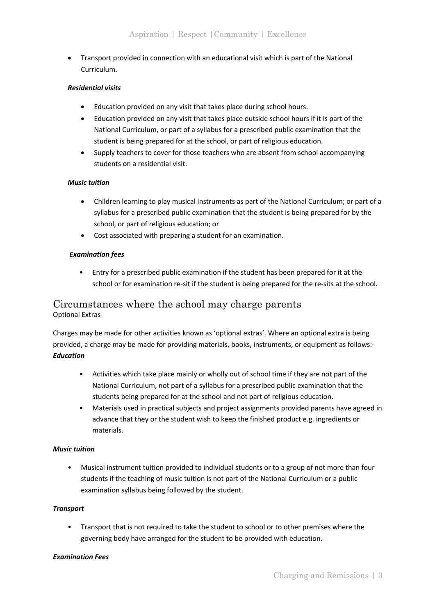• Transport provided in connection with an educational visit which is part of the National Curriculum.

#### *Residential visits*

- Education provided on any visit that takes place during school hours.
- Education provided on any visit that takes place outside school hours if it is part of the National Curriculum, or part of a syllabus for a prescribed public examination that the student is being prepared for at the school, or part of religious education.
- Supply teachers to cover for those teachers who are absent from school accompanying students on a residential visit.

#### *Music tuition*

- Children learning to play musical instruments as part of the National Curriculum; or part of a syllabus for a prescribed public examination that the student is being prepared for by the school, or part of religious education; or
- Cost associated with preparing a student for an examination.

## *Examination fees*

• Entry for a prescribed public examination if the student has been prepared for it at the school or for examination re-sit if the student is being prepared for the re-sits at the school.

## Circumstances where the school may charge parents Optional Extras

Charges may be made for other activities known as 'optional extras'. Where an optional extra is being provided, a charge may be made for providing materials, books, instruments, or equipment as follows:- *Education* 

- Activities which take place mainly or wholly out of school time if they are not part of the National Curriculum, not part of a syllabus for a prescribed public examination that the students being prepared for at the school and not part of religious education.
- Materials used in practical subjects and project assignments provided parents have agreed in advance that they or the student wish to keep the finished product e.g. ingredients or materials.

#### *Music tuition*

• Musical instrument tuition provided to individual students or to a group of not more than four students if the teaching of music tuition is not part of the National Curriculum or a public examination syllabus being followed by the student.

#### *Transport*

• Transport that is not required to take the student to school or to other premises where the governing body have arranged for the student to be provided with education.

#### *Examination Fees*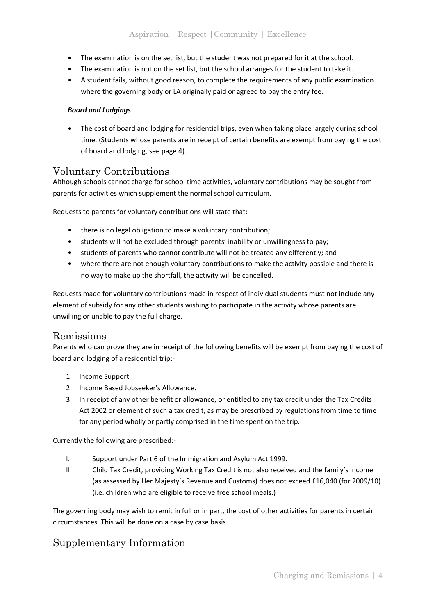- The examination is on the set list, but the student was not prepared for it at the school.
- The examination is not on the set list, but the school arranges for the student to take it.
- A student fails, without good reason, to complete the requirements of any public examination where the governing body or LA originally paid or agreed to pay the entry fee.

#### *Board and Lodgings*

The cost of board and lodging for residential trips, even when taking place largely during school time. (Students whose parents are in receipt of certain benefits are exempt from paying the cost of board and lodging, see page 4).

## Voluntary Contributions

Although schools cannot charge for school time activities, voluntary contributions may be sought from parents for activities which supplement the normal school curriculum.

Requests to parents for voluntary contributions will state that:-

- there is no legal obligation to make a voluntary contribution;
- students will not be excluded through parents' inability or unwillingness to pay;
- students of parents who cannot contribute will not be treated any differently; and
- where there are not enough voluntary contributions to make the activity possible and there is no way to make up the shortfall, the activity will be cancelled.

Requests made for voluntary contributions made in respect of individual students must not include any element of subsidy for any other students wishing to participate in the activity whose parents are unwilling or unable to pay the full charge.

## Remissions

Parents who can prove they are in receipt of the following benefits will be exempt from paying the cost of board and lodging of a residential trip:-

- 1. Income Support.
- 2. Income Based Jobseeker's Allowance.
- 3. In receipt of any other benefit or allowance, or entitled to any tax credit under the Tax Credits Act 2002 or element of such a tax credit, as may be prescribed by regulations from time to time for any period wholly or partly comprised in the time spent on the trip.

Currently the following are prescribed:-

- I. Support under Part 6 of the Immigration and Asylum Act 1999.
- II. Child Tax Credit, providing Working Tax Credit is not also received and the family's income (as assessed by Her Majesty's Revenue and Customs) does not exceed £16,040 (for 2009/10) (i.e. children who are eligible to receive free school meals.)

The governing body may wish to remit in full or in part, the cost of other activities for parents in certain circumstances. This will be done on a case by case basis.

## Supplementary Information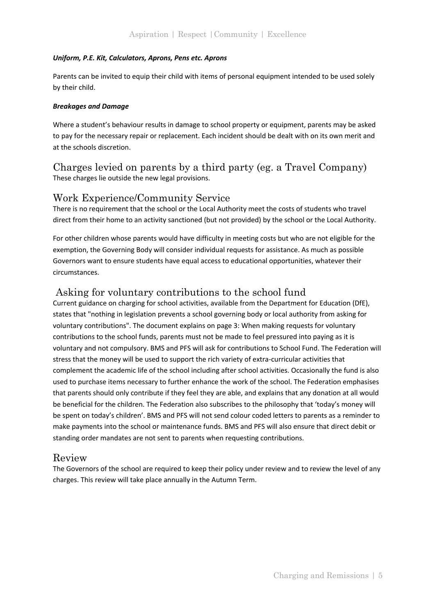## *Uniform, P.E. Kit, Calculators, Aprons, Pens etc. Aprons*

Parents can be invited to equip their child with items of personal equipment intended to be used solely by their child.

## *Breakages and Damage*

Where a student's behaviour results in damage to school property or equipment, parents may be asked to pay for the necessary repair or replacement. Each incident should be dealt with on its own merit and at the schools discretion.

## Charges levied on parents by a third party (eg. a Travel Company) These charges lie outside the new legal provisions.

## Work Experience/Community Service

There is no requirement that the school or the Local Authority meet the costs of students who travel direct from their home to an activity sanctioned (but not provided) by the school or the Local Authority.

For other children whose parents would have difficulty in meeting costs but who are not eligible for the exemption, the Governing Body will consider individual requests for assistance. As much as possible Governors want to ensure students have equal access to educational opportunities, whatever their circumstances.

## Asking for voluntary contributions to the school fund

Current guidance on charging for school activities, available from the Department for Education (DfE), states that "nothing in legislation prevents a school governing body or local authority from asking for voluntary contributions". The document explains on page 3: When making requests for voluntary contributions to the school funds, parents must not be made to feel pressured into paying as it is voluntary and not compulsory. BMS and PFS will ask for contributions to School Fund. The Federation will stress that the money will be used to support the rich variety of extra-curricular activities that complement the academic life of the school including after school activities. Occasionally the fund is also used to purchase items necessary to further enhance the work of the school. The Federation emphasises that parents should only contribute if they feel they are able, and explains that any donation at all would be beneficial for the children. The Federation also subscribes to the philosophy that 'today's money will be spent on today's children'. BMS and PFS will not send colour coded letters to parents as a reminder to make payments into the school or maintenance funds. BMS and PFS will also ensure that direct debit or standing order mandates are not sent to parents when requesting contributions.

## Review

The Governors of the school are required to keep their policy under review and to review the level of any charges. This review will take place annually in the Autumn Term.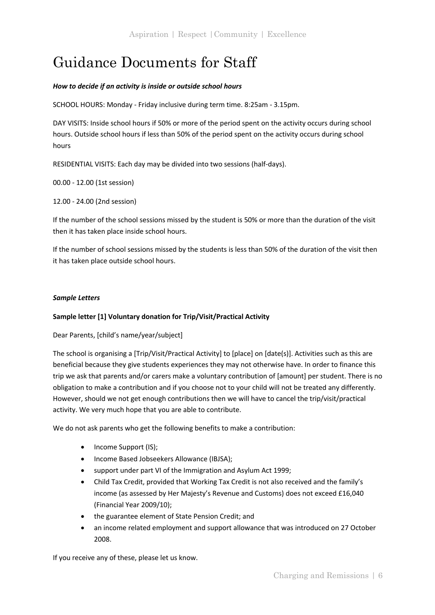# Guidance Documents for Staff

## *How to decide if an activity is inside or outside school hours*

SCHOOL HOURS: Monday - Friday inclusive during term time. 8:25am - 3.15pm.

DAY VISITS: Inside school hours if 50% or more of the period spent on the activity occurs during school hours. Outside school hours if less than 50% of the period spent on the activity occurs during school hours

RESIDENTIAL VISITS: Each day may be divided into two sessions (half-days).

00.00 - 12.00 (1st session)

12.00 - 24.00 (2nd session)

If the number of the school sessions missed by the student is 50% or more than the duration of the visit then it has taken place inside school hours.

If the number of school sessions missed by the students is less than 50% of the duration of the visit then it has taken place outside school hours.

#### *Sample Letters*

#### **Sample letter [1] Voluntary donation for Trip/Visit/Practical Activity**

Dear Parents, [child's name/year/subject]

The school is organising a [Trip/Visit/Practical Activity] to [place] on [date(s)]. Activities such as this are beneficial because they give students experiences they may not otherwise have. In order to finance this trip we ask that parents and/or carers make a voluntary contribution of [amount] per student. There is no obligation to make a contribution and if you choose not to your child will not be treated any differently. However, should we not get enough contributions then we will have to cancel the trip/visit/practical activity. We very much hope that you are able to contribute.

We do not ask parents who get the following benefits to make a contribution:

- Income Support (IS);
- Income Based Jobseekers Allowance (IBJSA);
- support under part VI of the Immigration and Asylum Act 1999;
- Child Tax Credit, provided that Working Tax Credit is not also received and the family's income (as assessed by Her Majesty's Revenue and Customs) does not exceed £16,040 (Financial Year 2009/10);
- the guarantee element of State Pension Credit; and
- an income related employment and support allowance that was introduced on 27 October 2008.

If you receive any of these, please let us know.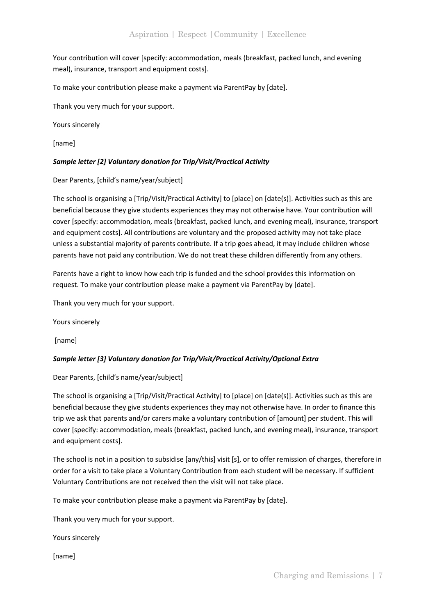Your contribution will cover [specify: accommodation, meals (breakfast, packed lunch, and evening meal), insurance, transport and equipment costs].

To make your contribution please make a payment via ParentPay by [date].

Thank you very much for your support.

Yours sincerely

[name]

## *Sample letter [2] Voluntary donation for Trip/Visit/Practical Activity*

Dear Parents, [child's name/year/subject]

The school is organising a [Trip/Visit/Practical Activity] to [place] on [date(s)]. Activities such as this are beneficial because they give students experiences they may not otherwise have. Your contribution will cover [specify: accommodation, meals (breakfast, packed lunch, and evening meal), insurance, transport and equipment costs]. All contributions are voluntary and the proposed activity may not take place unless a substantial majority of parents contribute. If a trip goes ahead, it may include children whose parents have not paid any contribution. We do not treat these children differently from any others.

Parents have a right to know how each trip is funded and the school provides this information on request. To make your contribution please make a payment via ParentPay by [date].

Thank you very much for your support.

Yours sincerely

[name]

## *Sample letter [3] Voluntary donation for Trip/Visit/Practical Activity/Optional Extra*

Dear Parents, [child's name/year/subject]

The school is organising a [Trip/Visit/Practical Activity] to [place] on [date(s)]. Activities such as this are beneficial because they give students experiences they may not otherwise have. In order to finance this trip we ask that parents and/or carers make a voluntary contribution of [amount] per student. This will cover [specify: accommodation, meals (breakfast, packed lunch, and evening meal), insurance, transport and equipment costs].

The school is not in a position to subsidise [any/this] visit [s], or to offer remission of charges, therefore in order for a visit to take place a Voluntary Contribution from each student will be necessary. If sufficient Voluntary Contributions are not received then the visit will not take place.

To make your contribution please make a payment via ParentPay by [date].

Thank you very much for your support.

Yours sincerely

[name]